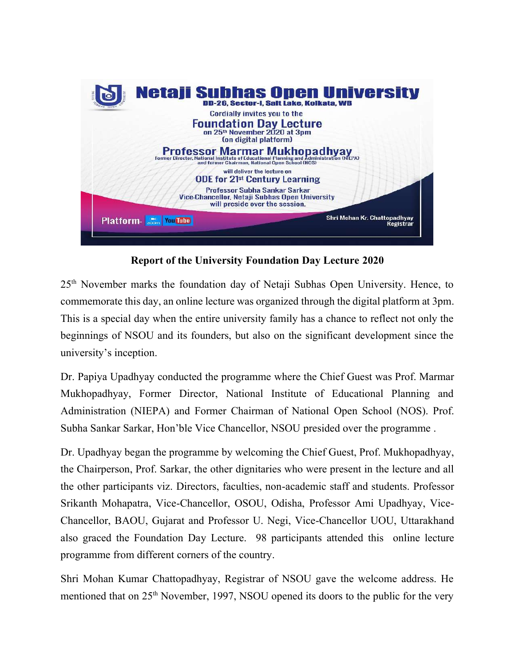

**Report of the University Foundation Day Lecture 2020**

25th November marks the foundation day of Netaji Subhas Open University. Hence, to commemorate this day, an online lecture was organized through the digital platform at 3pm. This is a special day when the entire university family has a chance to reflect not only the beginnings of NSOU and its founders, but also on the significant development since the university's inception.

Dr. Papiya Upadhyay conducted the programme where the Chief Guest was Prof. Marmar Mukhopadhyay, Former Director, National Institute of Educational Planning and Administration (NIEPA) and Former Chairman of National Open School (NOS). Prof. Subha Sankar Sarkar, Hon'ble Vice Chancellor, NSOU presided over the programme .

Dr. Upadhyay began the programme by welcoming the Chief Guest, Prof. Mukhopadhyay, the Chairperson, Prof. Sarkar, the other dignitaries who were present in the lecture and all the other participants viz. Directors, faculties, non-academic staff and students. Professor Srikanth Mohapatra, Vice-Chancellor, OSOU, Odisha, Professor Ami Upadhyay, Vice-Chancellor, BAOU, Gujarat and Professor U. Negi, Vice-Chancellor UOU, Uttarakhand also graced the Foundation Day Lecture. 98 participants attended this online lecture programme from different corners of the country.

Shri Mohan Kumar Chattopadhyay, Registrar of NSOU gave the welcome address. He mentioned that on 25<sup>th</sup> November, 1997, NSOU opened its doors to the public for the very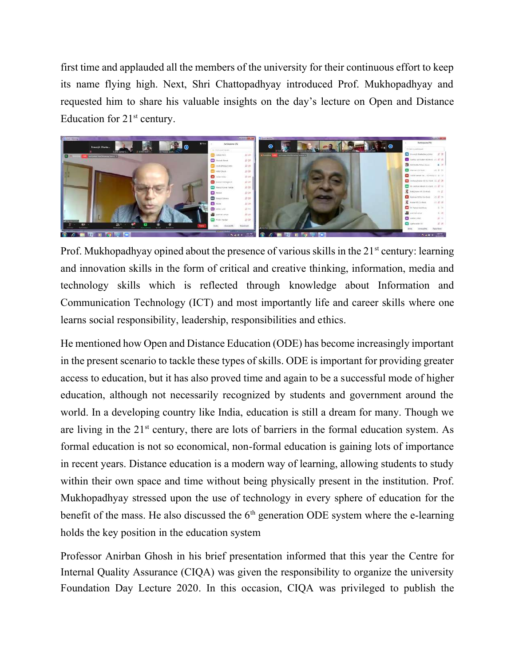first time and applauded all the members of the university for their continuous effort to keep its name flying high. Next, Shri Chattopadhyay introduced Prof. Mukhopadhyay and requested him to share his valuable insights on the day's lecture on Open and Distance Education for  $21<sup>st</sup>$  century.



Prof. Mukhopadhyay opined about the presence of various skills in the 21<sup>st</sup> century: learning and innovation skills in the form of critical and creative thinking, information, media and technology skills which is reflected through knowledge about Information and Communication Technology (ICT) and most importantly life and career skills where one learns social responsibility, leadership, responsibilities and ethics.

He mentioned how Open and Distance Education (ODE) has become increasingly important in the present scenario to tackle these types of skills. ODE is important for providing greater access to education, but it has also proved time and again to be a successful mode of higher education, although not necessarily recognized by students and government around the world. In a developing country like India, education is still a dream for many. Though we are living in the  $21<sup>st</sup>$  century, there are lots of barriers in the formal education system. As formal education is not so economical, non-formal education is gaining lots of importance in recent years. Distance education is a modern way of learning, allowing students to study within their own space and time without being physically present in the institution. Prof. Mukhopadhyay stressed upon the use of technology in every sphere of education for the benefit of the mass. He also discussed the  $6<sup>th</sup>$  generation ODE system where the e-learning holds the key position in the education system

Professor Anirban Ghosh in his brief presentation informed that this year the Centre for Internal Quality Assurance (CIQA) was given the responsibility to organize the university Foundation Day Lecture 2020. In this occasion, CIQA was privileged to publish the